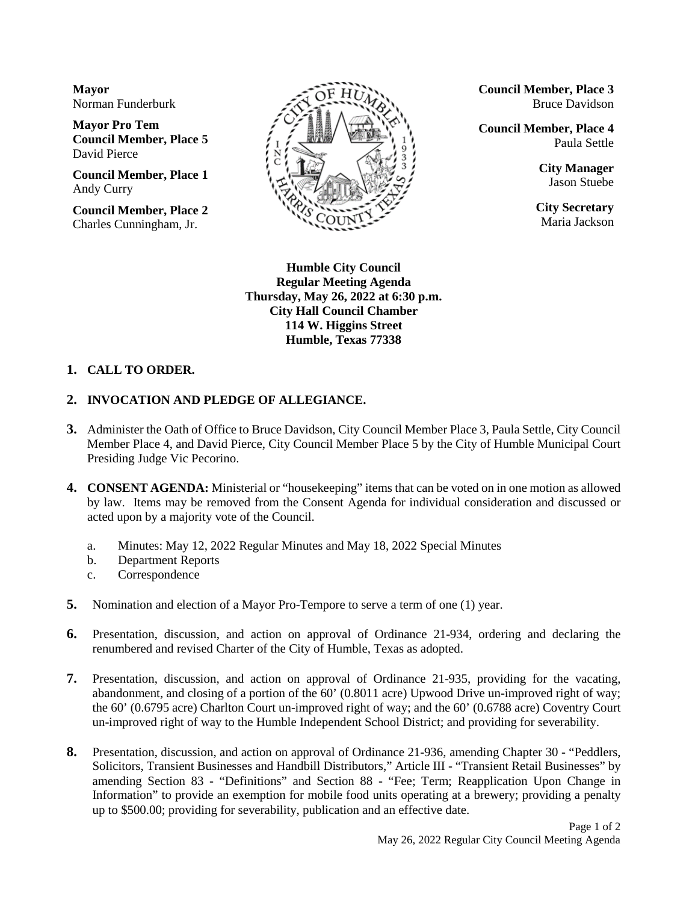**Mayor** Norman Funderburk

**Mayor Pro Tem Council Member, Place 5** David Pierce

**Council Member, Place 1** Andy Curry

**Council Member, Place 2** Charles Cunningham, Jr.



**Council Member, Place 3** Bruce Davidson

**Council Member, Place 4** Paula Settle

> **City Manager** Jason Stuebe

**City Secretary** Maria Jackson

**Humble City Council Regular Meeting Agenda Thursday, May 26, 2022 at 6:30 p.m. City Hall Council Chamber 114 W. Higgins Street Humble, Texas 77338**

## **1. CALL TO ORDER.**

## **2. INVOCATION AND PLEDGE OF ALLEGIANCE.**

- **3.** Administer the Oath of Office to Bruce Davidson, City Council Member Place 3, Paula Settle, City Council Member Place 4, and David Pierce, City Council Member Place 5 by the City of Humble Municipal Court Presiding Judge Vic Pecorino.
- **4. CONSENT AGENDA:** Ministerial or "housekeeping" items that can be voted on in one motion as allowed by law. Items may be removed from the Consent Agenda for individual consideration and discussed or acted upon by a majority vote of the Council.
	- a. Minutes: May 12, 2022 Regular Minutes and May 18, 2022 Special Minutes
	- b. Department Reports
	- c. Correspondence
- **5.** Nomination and election of a Mayor Pro-Tempore to serve a term of one (1) year.
- **6.** Presentation, discussion, and action on approval of Ordinance 21-934, ordering and declaring the renumbered and revised Charter of the City of Humble, Texas as adopted.
- **7.** Presentation, discussion, and action on approval of Ordinance 21-935, providing for the vacating, abandonment, and closing of a portion of the 60' (0.8011 acre) Upwood Drive un-improved right of way; the 60' (0.6795 acre) Charlton Court un-improved right of way; and the 60' (0.6788 acre) Coventry Court un-improved right of way to the Humble Independent School District; and providing for severability.
- **8.** Presentation, discussion, and action on approval of Ordinance 21-936, amending Chapter 30 "Peddlers, Solicitors, Transient Businesses and Handbill Distributors," Article III - "Transient Retail Businesses" by amending Section 83 - "Definitions" and Section 88 - "Fee; Term; Reapplication Upon Change in Information" to provide an exemption for mobile food units operating at a brewery; providing a penalty up to \$500.00; providing for severability, publication and an effective date.